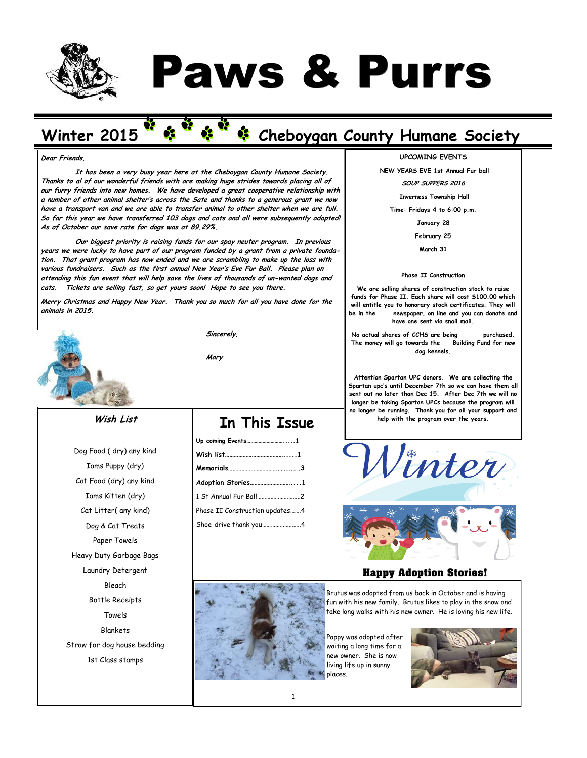

# Paws & Purrs

# Winter 2015 Cheboygan County Humane Society

#### **Dear Friends,**

**It has been a very busy year here at the Cheboygan County Humane Society. Thanks to al of our wonderful friends with are making huge strides towards placing all of our furry friends into new homes. We have developed a great cooperative relationship with a number of other animal shelter's across the Sate and thanks to a generous grant we now have a transport van and we are able to transfer animal to other shelter when we are full. So far this year we have transferred 103 dogs and cats and all were subsequently adopted! As of October our save rate for dogs was at 89.29%.**

**Our biggest priority is raising funds for our spay neuter program. In previous years we were lucky to have part of our program funded by a grant from a private foundation. That grant program has now ended and we are scrambling to make up the loss with various fundraisers. Such as the first annual New Year's Eve Fur Ball. Please plan on attending this fun event that will help save the lives of thousands of un-wanted dogs and cats. Tickets are selling fast, so get yours soon! Hope to see you there.** 

**Merry Christmas and Happy New Year. Thank you so much for all you have done for the animals in 2015.**



**Sincerely,**

**Mary**

#### **Wish List**

Dog Food ( dry) any kind Iams Puppy (dry) Cat Food (dry) any kind Iams Kitten (dry) Cat Litter( any kind) Dog & Cat Treats Paper Towels Heavy Duty Garbage Bags Laundry Detergent Bleach Bottle Receipts Towels Blankets Straw for dog house bedding 1st Class stamps

## **In This Issue**

| Adoption Stories1              |  |
|--------------------------------|--|
| 1 St Annual Fur Ball2          |  |
| Phase II Construction updates4 |  |
| Shoe-drive thank you4          |  |



**NEW YEARS EVE 1st Annual Fur ball** 

#### **SOUP SUPPERS 2016**

**Inverness Township Hall**

**Time: Fridays 4 to 6:00 p.m.**

**January 28**

**February 25**

**March 31**

#### **Phase II Construction**

**We are selling shares of construction stock to raise funds for Phase II. Each share will cost \$100.00 which will entitle you to honorary stock certificates. They will be in the newspaper, on line and you can donate and have one sent via snail mail.**

**No actual shares of CCHS are being purchased. The money will go towards the Building Fund for new dog kennels.**

**Attention Spartan UPC donors. We are collecting the Spartan upc's until December 7th so we can have them all sent out no later than Dec 15. After Dec 7th we will no longer be taking Spartan UPCs because the program will no longer be running. Thank you for all your support and help with the program over the years.** 



#### **Happy Adoption Stories!**

Brutus was adopted from us back in October and is having fun with his new family. Brutus likes to play in the snow and take long walks with his new owner. He is loving his new life.

Poppy was adopted after waiting a long time for a new owner. She is now living life up in sunny places.

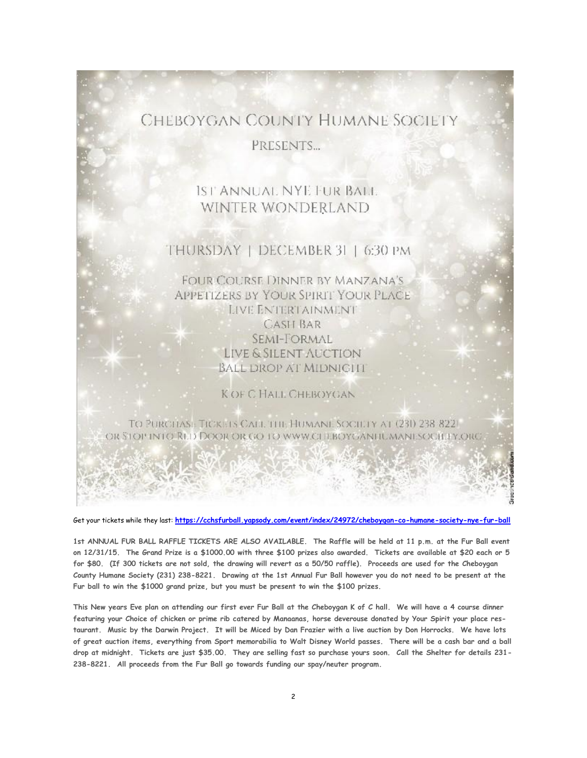## CHEBOYGAN COUNTY HUMANE SOCIETY

PRESENTS...

## IST ANNUAL NYE FUR BALL WINTER WONDERLAND

### THURSDAY | DECEMBER 31 | 6:30 PM

**FOUR COURSE DINNER BY MANZANA'S APPETIZERS BY YOUR SPIRIT YOUR PLACE** LIVE ENTERTAINMENT **CASH BAR** SEMI-FORMAL LIVE & SILENT AUCTION **BALL DROP AT MIDNIGHT** 

K OF C HALL CHEBOYGAN

#### TO PURCHASE TICKETS CALL THE HUMANI. SOCIETY AT (231) 238-8221 OR STOP INTO RED DOOR OR GO TO WWW.CLEBOYGANTIUMANESOCH FYORG.

Get your tickets while they last: **<https://cchsfurball.yapsody.com/event/index/24972/cheboygan-co-humane-society-nye-fur-ball>**

**1st ANNUAL FUR BALL RAFFLE TICKETS ARE ALSO AVAILABLE. The Raffle will be held at 11 p.m. at the Fur Ball event on 12/31/15. The Grand Prize is a \$1000.00 with three \$100 prizes also awarded. Tickets are available at \$20 each or 5 for \$80. (If 300 tickets are not sold, the drawing will revert as a 50/50 raffle). Proceeds are used for the Cheboygan County Humane Society (231) 238-8221. Drawing at the 1st Annual Fur Ball however you do not need to be present at the Fur ball to win the \$1000 grand prize, but you must be present to win the \$100 prizes.** 

**This New years Eve plan on attending our first ever Fur Ball at the Cheboygan K of C hall. We will have a 4 course dinner featuring your Choice of chicken or prime rib catered by Manaanas, horse deverouse donated by Your Spirit your place restaurant. Music by the Darwin Project. It will be Miced by Dan Frazier with a live auction by Don Horrocks. We have lots of great auction items, everything from Sport memorabilia to Walt Disney World passes. There will be a cash bar and a ball drop at midnight. Tickets are just \$35.00. They are selling fast so purchase yours soon. Call the Shelter for details 231- 238-8221. All proceeds from the Fur Ball go towards funding our spay/neuter program.**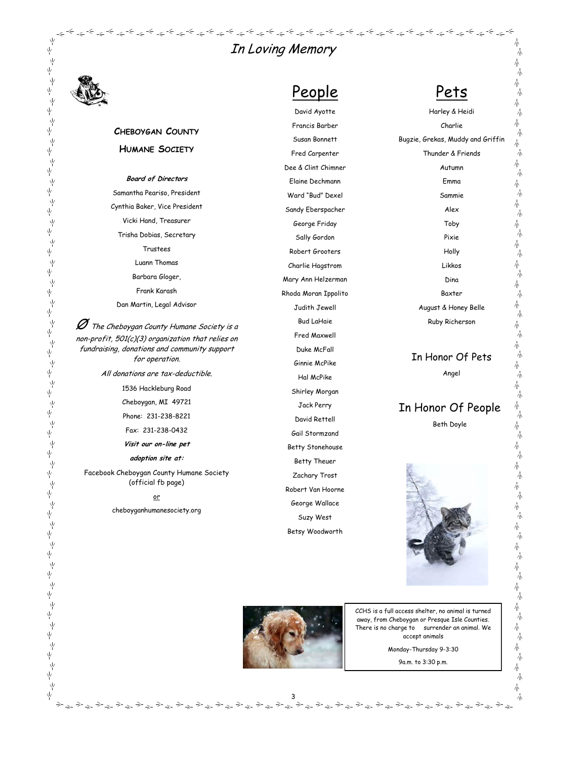平平 不太不不 下<br>平 下<br>平 ,<br>平 一<br>平 ,<br>平 ,<br>平 ,<br>平 ネネネネイ 「<br>平 下<br>平 ,<br>平 Ϋ́  $\psi$ ,<br>平 Ϋ́ ψ Ϋ́ Ϋ́ Ϋ́ Ϋ́ ψ Υķ ΥĶ γý Ϋ́ γý ,<br>平

下<br>平

下<br>平

下<br>平

下<br>平

ネネネネホ

Ϋ́

## In Loving Memory

#### **CHEBOYGAN COUNTY HUMANE SOCIETY**

**Board of Directors** Samantha Peariso, President Cynthia Baker, Vice President Vicki Hand, Treasurer Trisha Dobias, Secretary Trustees Luann Thomas Barbara Gloger, Frank Karash

Dan Martin, Legal Advisor

 $\mathscr D$  The Cheboygan County Humane Society is a non-profit, 501(c)(3) organization that relies on fundraising, donations and community support for operation.

All donations are tax-deductible.

1536 Hackleburg Road

Cheboygan, MI 49721

Phone: 231-238-8221

Fax: 231-238-0432

**Visit our on-line pet** 

**adoption site at:**

Facebook Cheboygan County Humane Society (official fb page)

or

cheboyganhumanesociety.org

## People David Ayotte

المخطوطة المحاطر المحاطر المحاطر المحاطر المحاطر المحاطر المحاطر المحاطر المحاطر المحاطر المحاطر المحاطر المحاطر

Francis Barber Susan Bonnett Fred Carpenter Dee & Clint Chimner Elaine Dechmann Ward "Bud" Dexel Sandy Eberspacher George Friday Sally Gordon Robert Grooters Charlie Hagstrom Mary Ann Helzerman Rhoda Moran Ippolito Judith Jewell Bud LaHaie Fred Maxwell Duke McFall Ginnie McPike Hal McPike Shirley Morgan Jack Perry David Rettell Gail Stormzand Betty Stonehouse Betty Theuer Zachary Trost Robert Van Hoorne George Wallace Suzy West

## Pets

∻ے\_∻

小

小 木 本 木

木 木

木 木

赤 木

赤 木

赤 木

小  $\frac{1}{\sqrt{2}}$ 

本 )<br>小

木 )<br>小 春 .<br>Т 木 木

赤 木

赤 木

木

Harley & Heidi

Charlie Bugzie, Grekas, Muddy and Griffin Thunder & Friends Autumn Emma Sammie Alex Toby Pixie Holly Likkos Dina Baxter August & Honey Belle Ruby Richerson In Honor Of Pets Angel

## In Honor Of People

Beth Doyle





Betsy Woodworth

3

CCHS is a full access shelter, no animal is turned away, from Cheboygan or Presque Isle Counties. There is no charge to surrender an animal. We accept animals

Monday-Thursday 9-3:30

9a.m. to 3:30 p.m.